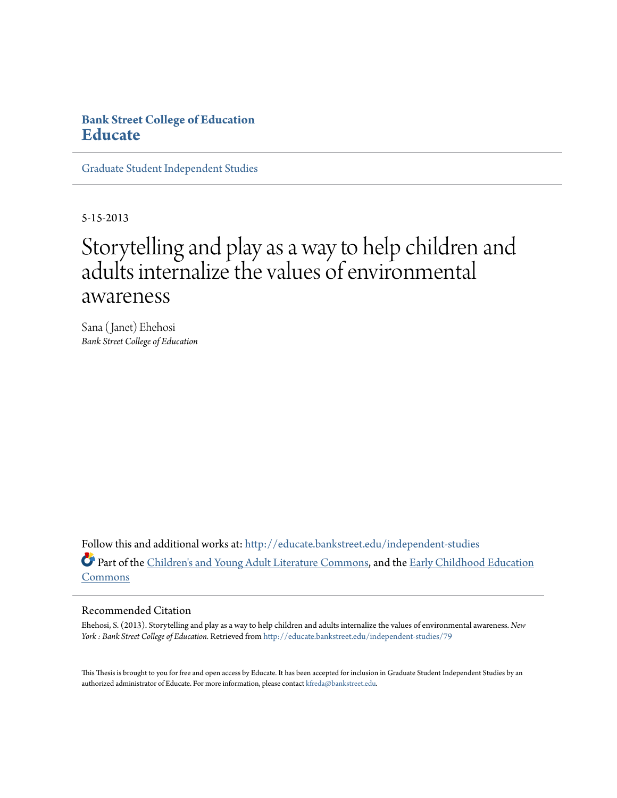# **Bank Street College of Education [Educate](http://educate.bankstreet.edu?utm_source=educate.bankstreet.edu%2Findependent-studies%2F79&utm_medium=PDF&utm_campaign=PDFCoverPages)**

[Graduate Student Independent Studies](http://educate.bankstreet.edu/independent-studies?utm_source=educate.bankstreet.edu%2Findependent-studies%2F79&utm_medium=PDF&utm_campaign=PDFCoverPages)

5-15-2013

# Storytelling and play as a way to help children and adults internalize the values of environmental awareness

Sana (Janet) Ehehosi *Bank Street College of Education*

Follow this and additional works at: [http://educate.bankstreet.edu/independent-studies](http://educate.bankstreet.edu/independent-studies?utm_source=educate.bankstreet.edu%2Findependent-studies%2F79&utm_medium=PDF&utm_campaign=PDFCoverPages) Part of the [Children's and Young Adult Literature Commons,](http://network.bepress.com/hgg/discipline/1289?utm_source=educate.bankstreet.edu%2Findependent-studies%2F79&utm_medium=PDF&utm_campaign=PDFCoverPages) and the [Early Childhood Education](http://network.bepress.com/hgg/discipline/1377?utm_source=educate.bankstreet.edu%2Findependent-studies%2F79&utm_medium=PDF&utm_campaign=PDFCoverPages) [Commons](http://network.bepress.com/hgg/discipline/1377?utm_source=educate.bankstreet.edu%2Findependent-studies%2F79&utm_medium=PDF&utm_campaign=PDFCoverPages)

#### Recommended Citation

Ehehosi, S. (2013). Storytelling and play as a way to help children and adults internalize the values of environmental awareness. *New York : Bank Street College of Education.* Retrieved from [http://educate.bankstreet.edu/independent-studies/79](http://educate.bankstreet.edu/independent-studies/79?utm_source=educate.bankstreet.edu%2Findependent-studies%2F79&utm_medium=PDF&utm_campaign=PDFCoverPages)

This Thesis is brought to you for free and open access by Educate. It has been accepted for inclusion in Graduate Student Independent Studies by an authorized administrator of Educate. For more information, please contact [kfreda@bankstreet.edu](mailto:kfreda@bankstreet.edu).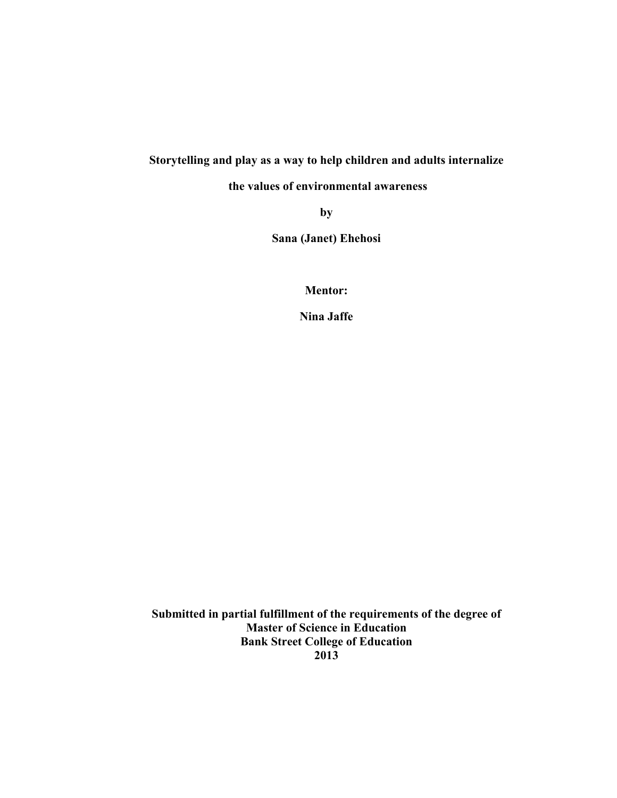# **Storytelling and play as a way to help children and adults internalize**

**the values of environmental awareness**

**by**

**Sana (Janet) Ehehosi**

**Mentor:**

**Nina Jaffe**

**Submitted in partial fulfillment of the requirements of the degree of Master of Science in Education Bank Street College of Education 2013**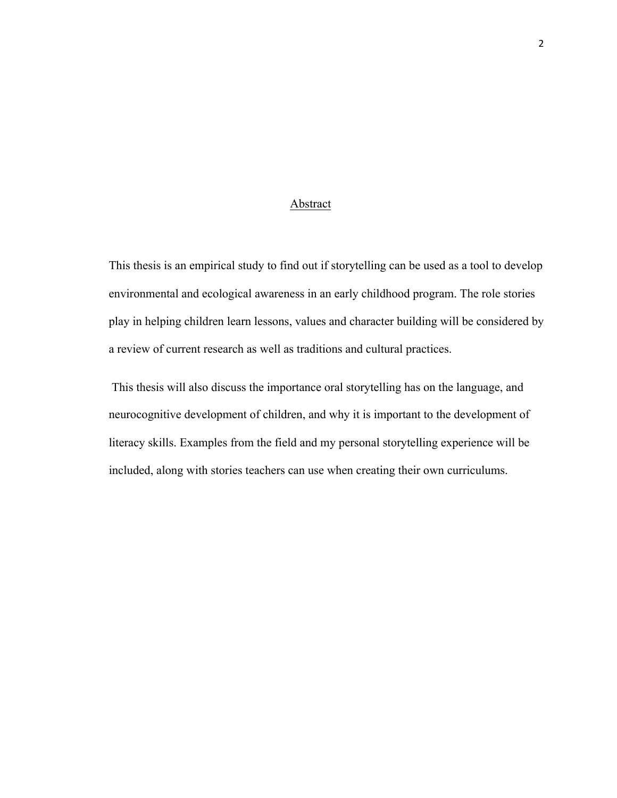#### Abstract

This thesis is an empirical study to find out if storytelling can be used as a tool to develop environmental and ecological awareness in an early childhood program. The role stories play in helping children learn lessons, values and character building will be considered by a review of current research as well as traditions and cultural practices.

This thesis will also discuss the importance oral storytelling has on the language, and neurocognitive development of children, and why it is important to the development of literacy skills. Examples from the field and my personal storytelling experience will be included, along with stories teachers can use when creating their own curriculums.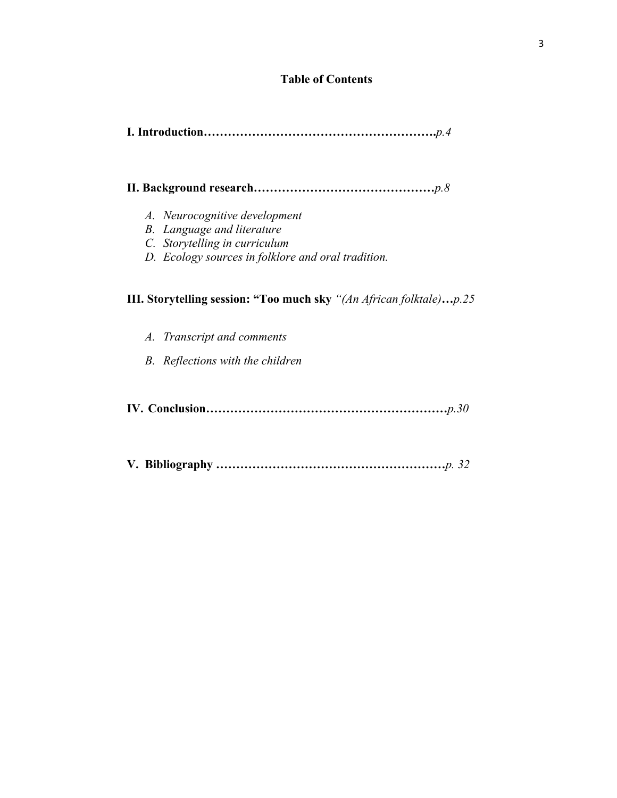## **Table of Contents**

```
 I. Introduction………………………………………………….p.4
```
## **II. Background research………………………………………***p.8*

- *A. Neurocognitive development*
- *B. Language and literature*
- *C. Storytelling in curriculum*
- *D. Ecology sources in folklore and oral tradition.*

# **III. Storytelling session: "Too much sky** *"(An African folktale)***…***p.25*

- *A. Transcript and comments*
- *B. Reflections with the children*
- **IV. Conclusion……………………………………………………***p.30*
- **V. Bibliography …………………………………………………***p. 32*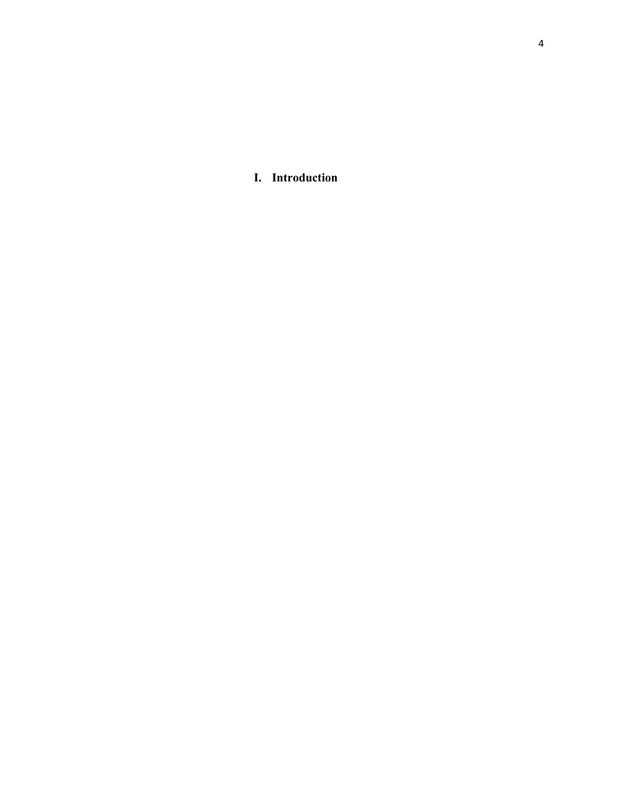**I. Introduction**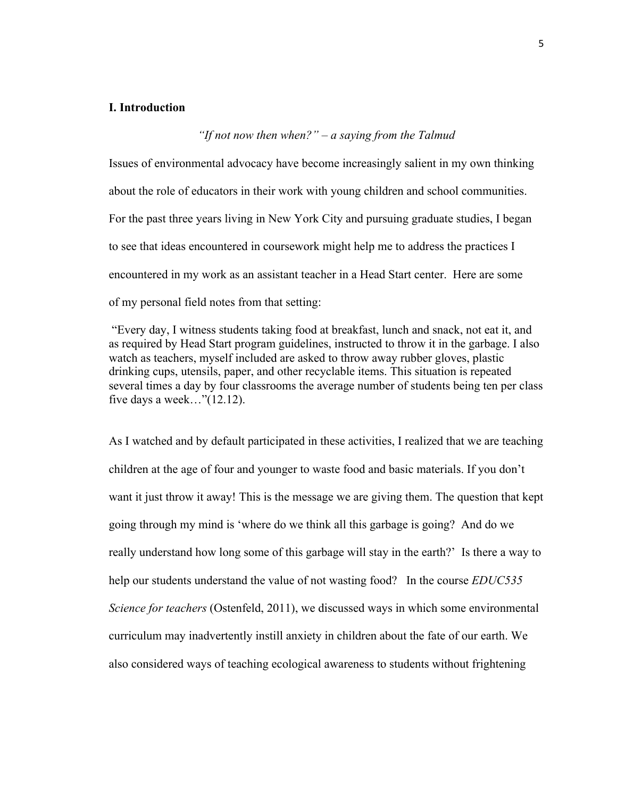#### **I. Introduction**

# *"If not now then when?" – a saying from the Talmud*

Issues of environmental advocacy have become increasingly salient in my own thinking about the role of educators in their work with young children and school communities. For the past three years living in New York City and pursuing graduate studies, I began to see that ideas encountered in coursework might help me to address the practices I encountered in my work as an assistant teacher in a Head Start center. Here are some of my personal field notes from that setting:

"Every day, I witness students taking food at breakfast, lunch and snack, not eat it, and as required by Head Start program guidelines, instructed to throw it in the garbage. I also watch as teachers, myself included are asked to throw away rubber gloves, plastic drinking cups, utensils, paper, and other recyclable items. This situation is repeated several times a day by four classrooms the average number of students being ten per class five days a week…"(12.12).

As I watched and by default participated in these activities, I realized that we are teaching children at the age of four and younger to waste food and basic materials. If you don't want it just throw it away! This is the message we are giving them. The question that kept going through my mind is 'where do we think all this garbage is going? And do we really understand how long some of this garbage will stay in the earth?' Is there a way to help our students understand the value of not wasting food? In the course *EDUC535 Science for teachers* (Ostenfeld, 2011), we discussed ways in which some environmental curriculum may inadvertently instill anxiety in children about the fate of our earth. We also considered ways of teaching ecological awareness to students without frightening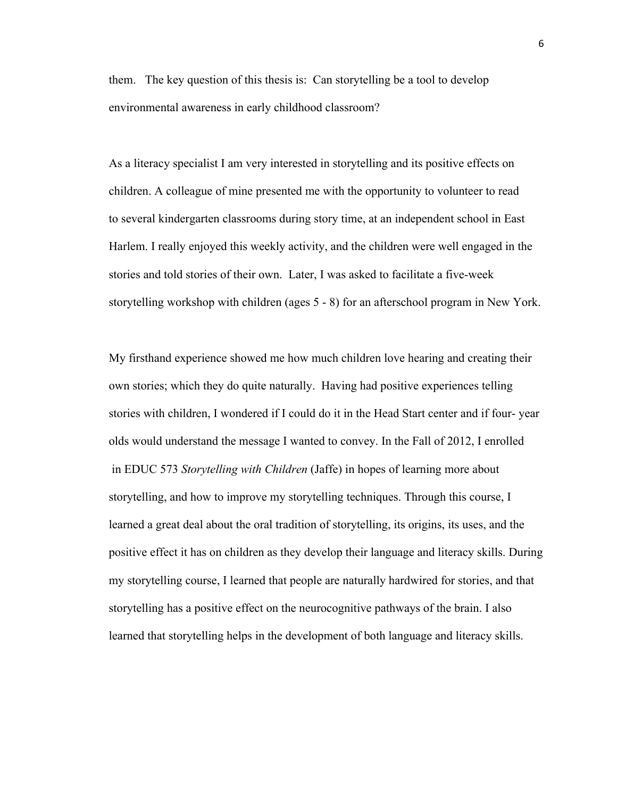them. The key question of this thesis is: Can storytelling be a tool to develop environmental awareness in early childhood classroom?

As a literacy specialist I am very interested in storytelling and its positive effects on children. A colleague of mine presented me with the opportunity to volunteer to read to several kindergarten classrooms during story time, at an independent school in East Harlem. I really enjoyed this weekly activity, and the children were well engaged in the stories and told stories of their own. Later, I was asked to facilitate a five-week storytelling workshop with children (ages 5 - 8) for an afterschool program in New York.

My firsthand experience showed me how much children love hearing and creating their own stories; which they do quite naturally. Having had positive experiences telling stories with children, I wondered if I could do it in the Head Start center and if four- year olds would understand the message I wanted to convey. In the Fall of 2012, I enrolled in EDUC 573 *Storytelling with Children* (Jaffe) in hopes of learning more about storytelling, and how to improve my storytelling techniques. Through this course, I learned a great deal about the oral tradition of storytelling, its origins, its uses, and the positive effect it has on children as they develop their language and literacy skills. During my storytelling course, I learned that people are naturally hardwired for stories, and that storytelling has a positive effect on the neurocognitive pathways of the brain. I also learned that storytelling helps in the development of both language and literacy skills.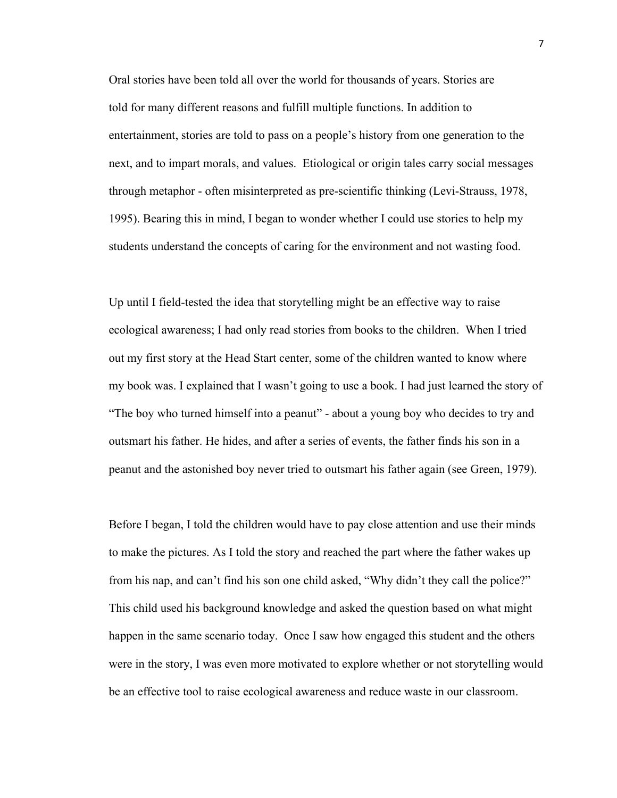Oral stories have been told all over the world for thousands of years. Stories are told for many different reasons and fulfill multiple functions. In addition to entertainment, stories are told to pass on a people's history from one generation to the next, and to impart morals, and values. Etiological or origin tales carry social messages through metaphor - often misinterpreted as pre-scientific thinking (Levi-Strauss, 1978, 1995). Bearing this in mind, I began to wonder whether I could use stories to help my students understand the concepts of caring for the environment and not wasting food.

Up until I field-tested the idea that storytelling might be an effective way to raise ecological awareness; I had only read stories from books to the children. When I tried out my first story at the Head Start center, some of the children wanted to know where my book was. I explained that I wasn't going to use a book. I had just learned the story of "The boy who turned himself into a peanut" - about a young boy who decides to try and outsmart his father. He hides, and after a series of events, the father finds his son in a peanut and the astonished boy never tried to outsmart his father again (see Green, 1979).

Before I began, I told the children would have to pay close attention and use their minds to make the pictures. As I told the story and reached the part where the father wakes up from his nap, and can't find his son one child asked, "Why didn't they call the police?" This child used his background knowledge and asked the question based on what might happen in the same scenario today. Once I saw how engaged this student and the others were in the story, I was even more motivated to explore whether or not storytelling would be an effective tool to raise ecological awareness and reduce waste in our classroom.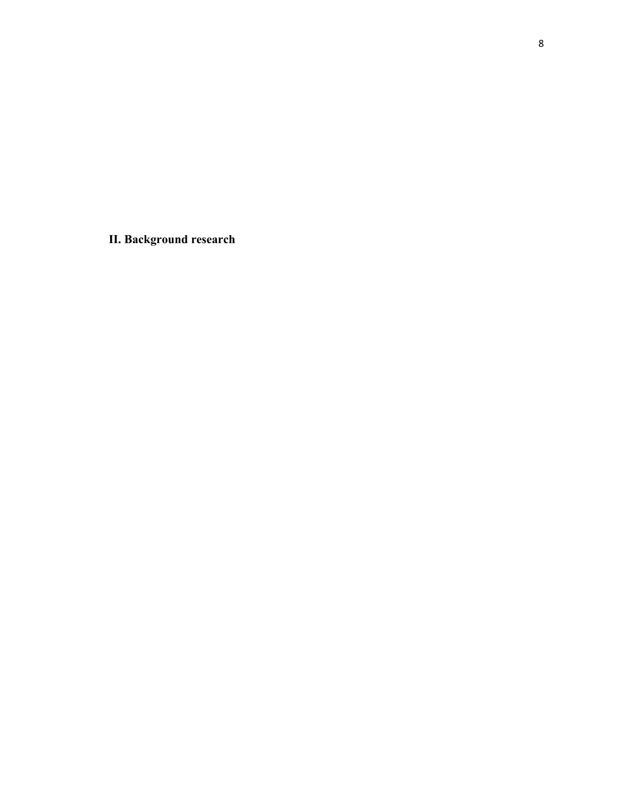**II. Background research**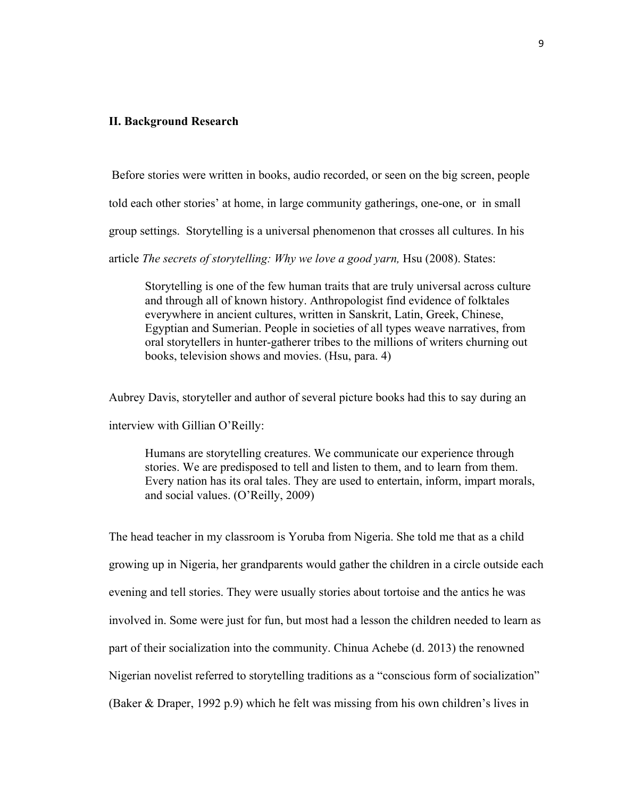#### **II. Background Research**

Before stories were written in books, audio recorded, or seen on the big screen, people

told each other stories' at home, in large community gatherings, one-one, or in small

group settings. Storytelling is a universal phenomenon that crosses all cultures. In his

article *The secrets of storytelling: Why we love a good yarn,* Hsu (2008). States:

Storytelling is one of the few human traits that are truly universal across culture and through all of known history. Anthropologist find evidence of folktales everywhere in ancient cultures, written in Sanskrit, Latin, Greek, Chinese, Egyptian and Sumerian. People in societies of all types weave narratives, from oral storytellers in hunter-gatherer tribes to the millions of writers churning out books, television shows and movies. (Hsu, para. 4)

Aubrey Davis, storyteller and author of several picture books had this to say during an interview with Gillian O'Reilly:

Humans are storytelling creatures. We communicate our experience through stories. We are predisposed to tell and listen to them, and to learn from them. Every nation has its oral tales. They are used to entertain, inform, impart morals, and social values. (O'Reilly, 2009)

The head teacher in my classroom is Yoruba from Nigeria. She told me that as a child growing up in Nigeria, her grandparents would gather the children in a circle outside each evening and tell stories. They were usually stories about tortoise and the antics he was involved in. Some were just for fun, but most had a lesson the children needed to learn as part of their socialization into the community. Chinua Achebe (d. 2013) the renowned Nigerian novelist referred to storytelling traditions as a "conscious form of socialization" (Baker & Draper, 1992 p.9) which he felt was missing from his own children's lives in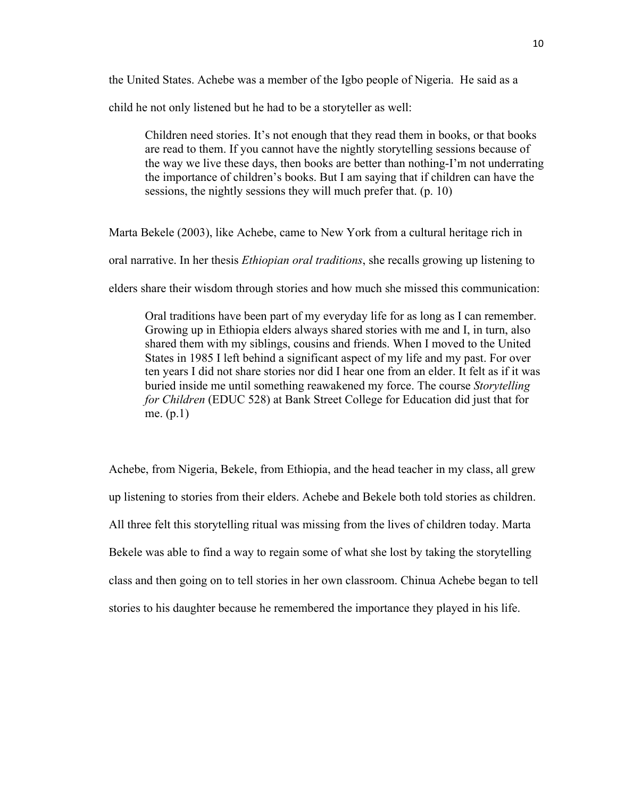the United States. Achebe was a member of the Igbo people of Nigeria. He said as a

child he not only listened but he had to be a storyteller as well:

Children need stories. It's not enough that they read them in books, or that books are read to them. If you cannot have the nightly storytelling sessions because of the way we live these days, then books are better than nothing-I'm not underrating the importance of children's books. But I am saying that if children can have the sessions, the nightly sessions they will much prefer that. (p. 10)

Marta Bekele (2003), like Achebe, came to New York from a cultural heritage rich in

oral narrative. In her thesis *Ethiopian oral traditions*, she recalls growing up listening to

elders share their wisdom through stories and how much she missed this communication:

Oral traditions have been part of my everyday life for as long as I can remember. Growing up in Ethiopia elders always shared stories with me and I, in turn, also shared them with my siblings, cousins and friends. When I moved to the United States in 1985 I left behind a significant aspect of my life and my past. For over ten years I did not share stories nor did I hear one from an elder. It felt as if it was buried inside me until something reawakened my force. The course *Storytelling for Children* (EDUC 528) at Bank Street College for Education did just that for me. (p.1)

Achebe, from Nigeria, Bekele, from Ethiopia, and the head teacher in my class, all grew up listening to stories from their elders. Achebe and Bekele both told stories as children. All three felt this storytelling ritual was missing from the lives of children today. Marta Bekele was able to find a way to regain some of what she lost by taking the storytelling class and then going on to tell stories in her own classroom. Chinua Achebe began to tell stories to his daughter because he remembered the importance they played in his life.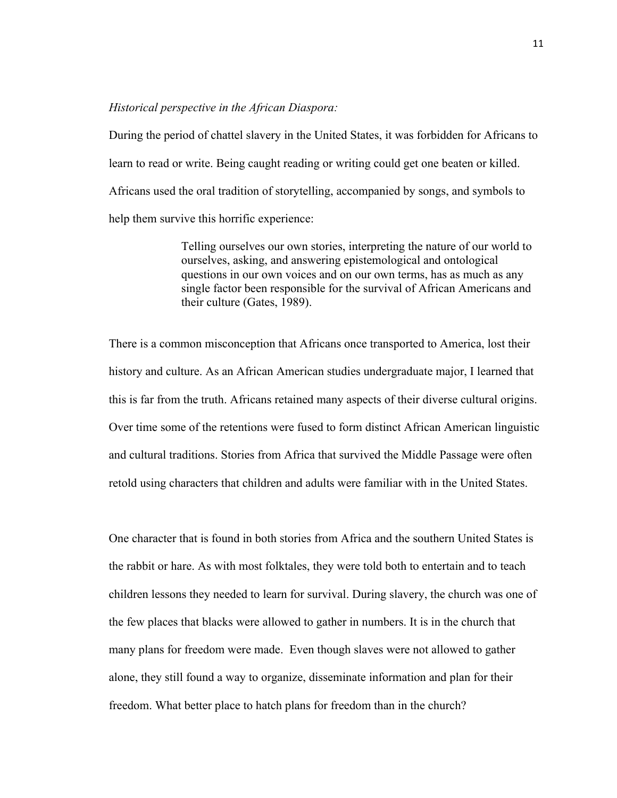#### *Historical perspective in the African Diaspora:*

During the period of chattel slavery in the United States, it was forbidden for Africans to learn to read or write. Being caught reading or writing could get one beaten or killed. Africans used the oral tradition of storytelling, accompanied by songs, and symbols to help them survive this horrific experience:

> Telling ourselves our own stories, interpreting the nature of our world to ourselves, asking, and answering epistemological and ontological questions in our own voices and on our own terms, has as much as any single factor been responsible for the survival of African Americans and their culture (Gates, 1989).

There is a common misconception that Africans once transported to America, lost their history and culture. As an African American studies undergraduate major, I learned that this is far from the truth. Africans retained many aspects of their diverse cultural origins. Over time some of the retentions were fused to form distinct African American linguistic and cultural traditions. Stories from Africa that survived the Middle Passage were often retold using characters that children and adults were familiar with in the United States.

One character that is found in both stories from Africa and the southern United States is the rabbit or hare. As with most folktales, they were told both to entertain and to teach children lessons they needed to learn for survival. During slavery, the church was one of the few places that blacks were allowed to gather in numbers. It is in the church that many plans for freedom were made. Even though slaves were not allowed to gather alone, they still found a way to organize, disseminate information and plan for their freedom. What better place to hatch plans for freedom than in the church?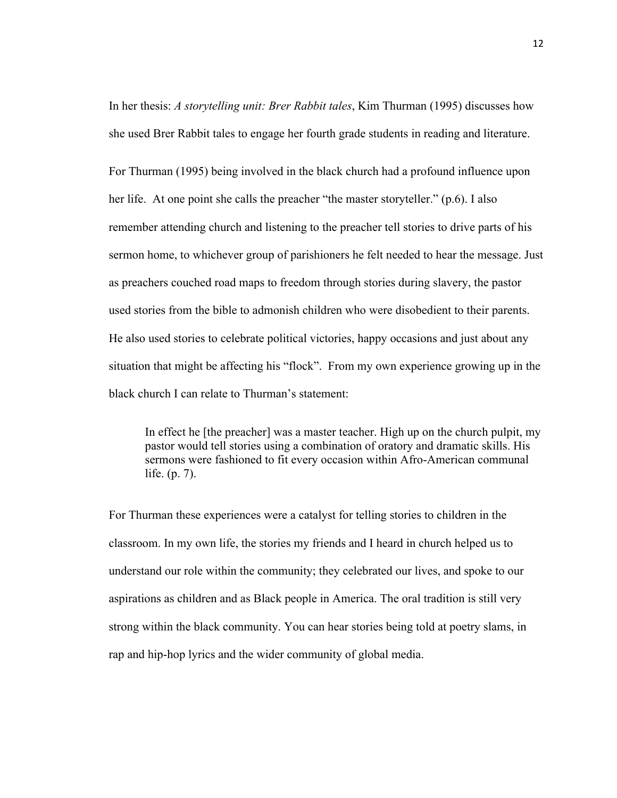In her thesis: *A storytelling unit: Brer Rabbit tales*, Kim Thurman (1995) discusses how she used Brer Rabbit tales to engage her fourth grade students in reading and literature.

For Thurman (1995) being involved in the black church had a profound influence upon her life. At one point she calls the preacher "the master storyteller." (p.6). I also remember attending church and listening to the preacher tell stories to drive parts of his sermon home, to whichever group of parishioners he felt needed to hear the message. Just as preachers couched road maps to freedom through stories during slavery, the pastor used stories from the bible to admonish children who were disobedient to their parents. He also used stories to celebrate political victories, happy occasions and just about any situation that might be affecting his "flock". From my own experience growing up in the black church I can relate to Thurman's statement:

In effect he [the preacher] was a master teacher. High up on the church pulpit, my pastor would tell stories using a combination of oratory and dramatic skills. His sermons were fashioned to fit every occasion within Afro-American communal life. (p. 7).

For Thurman these experiences were a catalyst for telling stories to children in the classroom. In my own life, the stories my friends and I heard in church helped us to understand our role within the community; they celebrated our lives, and spoke to our aspirations as children and as Black people in America. The oral tradition is still very strong within the black community. You can hear stories being told at poetry slams, in rap and hip-hop lyrics and the wider community of global media.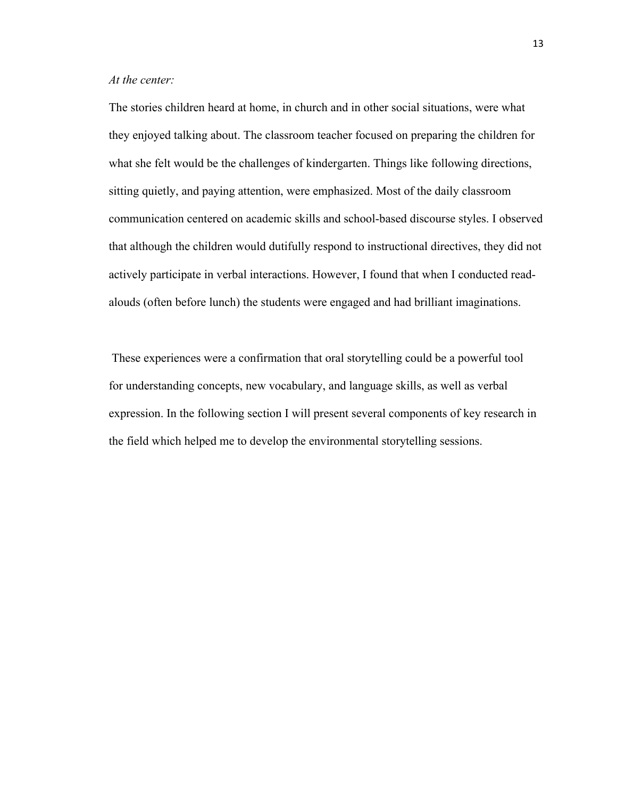## *At the center:*

The stories children heard at home, in church and in other social situations, were what they enjoyed talking about. The classroom teacher focused on preparing the children for what she felt would be the challenges of kindergarten. Things like following directions, sitting quietly, and paying attention, were emphasized. Most of the daily classroom communication centered on academic skills and school-based discourse styles. I observed that although the children would dutifully respond to instructional directives, they did not actively participate in verbal interactions. However, I found that when I conducted readalouds (often before lunch) the students were engaged and had brilliant imaginations.

These experiences were a confirmation that oral storytelling could be a powerful tool for understanding concepts, new vocabulary, and language skills, as well as verbal expression. In the following section I will present several components of key research in the field which helped me to develop the environmental storytelling sessions.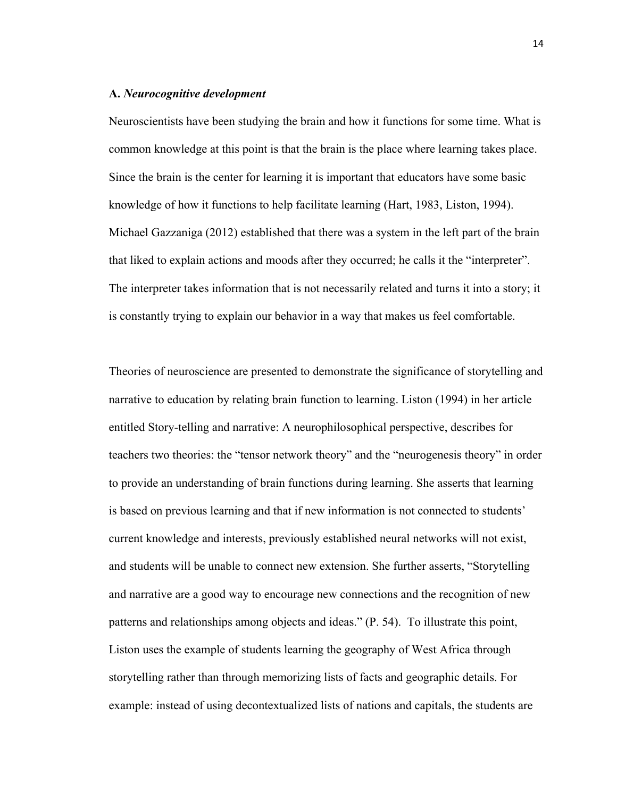#### **A.** *Neurocognitive development*

Neuroscientists have been studying the brain and how it functions for some time. What is common knowledge at this point is that the brain is the place where learning takes place. Since the brain is the center for learning it is important that educators have some basic knowledge of how it functions to help facilitate learning (Hart, 1983, Liston, 1994). Michael Gazzaniga (2012) established that there was a system in the left part of the brain that liked to explain actions and moods after they occurred; he calls it the "interpreter". The interpreter takes information that is not necessarily related and turns it into a story; it is constantly trying to explain our behavior in a way that makes us feel comfortable.

Theories of neuroscience are presented to demonstrate the significance of storytelling and narrative to education by relating brain function to learning. Liston (1994) in her article entitled Story-telling and narrative: A neurophilosophical perspective, describes for teachers two theories: the "tensor network theory" and the "neurogenesis theory" in order to provide an understanding of brain functions during learning. She asserts that learning is based on previous learning and that if new information is not connected to students' current knowledge and interests, previously established neural networks will not exist, and students will be unable to connect new extension. She further asserts, "Storytelling and narrative are a good way to encourage new connections and the recognition of new patterns and relationships among objects and ideas." (P. 54). To illustrate this point, Liston uses the example of students learning the geography of West Africa through storytelling rather than through memorizing lists of facts and geographic details. For example: instead of using decontextualized lists of nations and capitals, the students are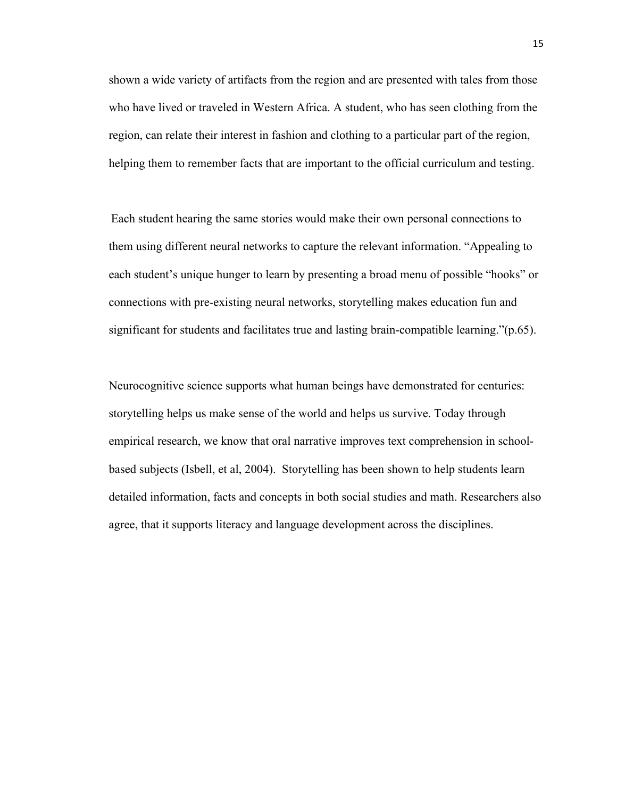shown a wide variety of artifacts from the region and are presented with tales from those who have lived or traveled in Western Africa. A student, who has seen clothing from the region, can relate their interest in fashion and clothing to a particular part of the region, helping them to remember facts that are important to the official curriculum and testing.

Each student hearing the same stories would make their own personal connections to them using different neural networks to capture the relevant information. "Appealing to each student's unique hunger to learn by presenting a broad menu of possible "hooks" or connections with pre-existing neural networks, storytelling makes education fun and significant for students and facilitates true and lasting brain-compatible learning."(p.65).

Neurocognitive science supports what human beings have demonstrated for centuries: storytelling helps us make sense of the world and helps us survive. Today through empirical research, we know that oral narrative improves text comprehension in schoolbased subjects (Isbell, et al, 2004). Storytelling has been shown to help students learn detailed information, facts and concepts in both social studies and math. Researchers also agree, that it supports literacy and language development across the disciplines.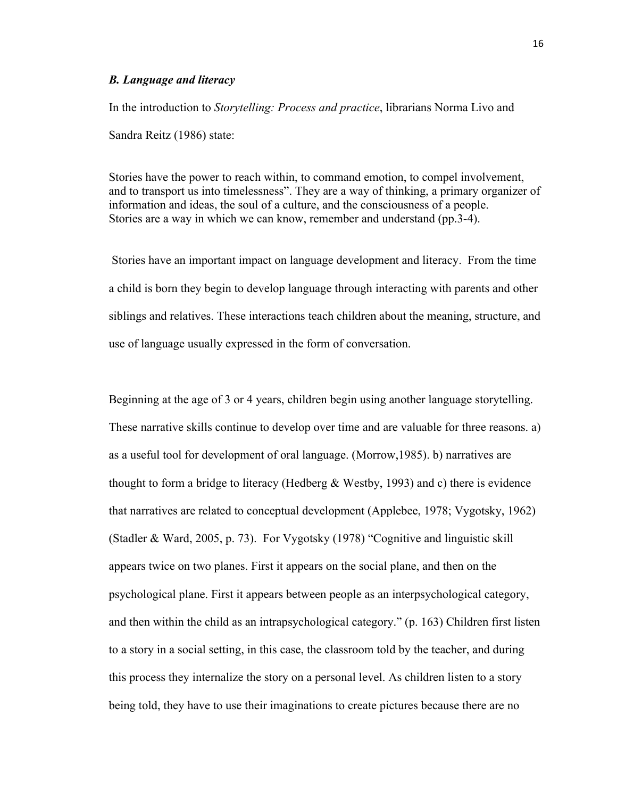#### *B. Language and literacy*

In the introduction to *Storytelling: Process and practice*, librarians Norma Livo and Sandra Reitz (1986) state:

Stories have the power to reach within, to command emotion, to compel involvement, and to transport us into timelessness". They are a way of thinking, a primary organizer of information and ideas, the soul of a culture, and the consciousness of a people. Stories are a way in which we can know, remember and understand (pp.3-4).

Stories have an important impact on language development and literacy. From the time a child is born they begin to develop language through interacting with parents and other siblings and relatives. These interactions teach children about the meaning, structure, and use of language usually expressed in the form of conversation.

Beginning at the age of 3 or 4 years, children begin using another language storytelling. These narrative skills continue to develop over time and are valuable for three reasons. a) as a useful tool for development of oral language. (Morrow,1985). b) narratives are thought to form a bridge to literacy (Hedberg & Westby, 1993) and c) there is evidence that narratives are related to conceptual development (Applebee, 1978; Vygotsky, 1962) (Stadler & Ward, 2005, p. 73). For Vygotsky (1978) "Cognitive and linguistic skill appears twice on two planes. First it appears on the social plane, and then on the psychological plane. First it appears between people as an interpsychological category, and then within the child as an intrapsychological category." (p. 163) Children first listen to a story in a social setting, in this case, the classroom told by the teacher, and during this process they internalize the story on a personal level. As children listen to a story being told, they have to use their imaginations to create pictures because there are no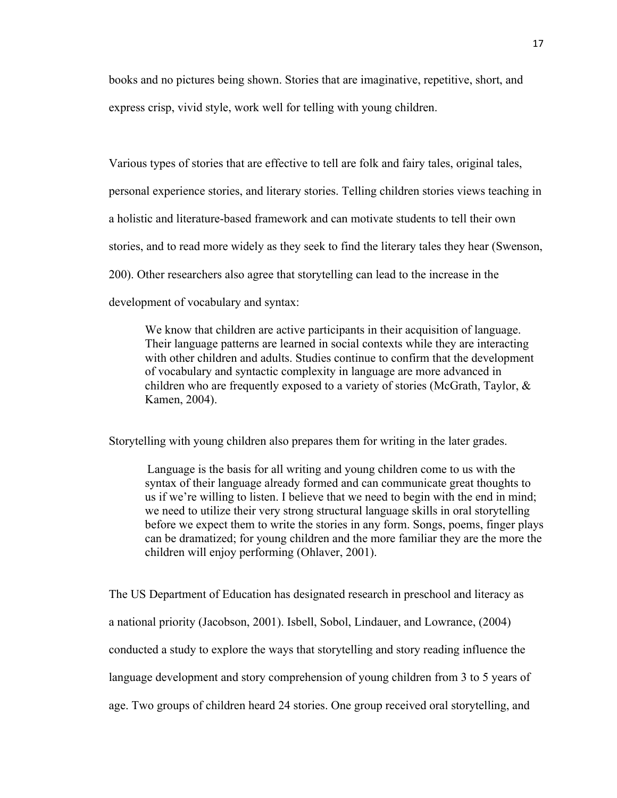books and no pictures being shown. Stories that are imaginative, repetitive, short, and express crisp, vivid style, work well for telling with young children.

Various types of stories that are effective to tell are folk and fairy tales, original tales, personal experience stories, and literary stories. Telling children stories views teaching in a holistic and literature-based framework and can motivate students to tell their own stories, and to read more widely as they seek to find the literary tales they hear (Swenson, 200). Other researchers also agree that storytelling can lead to the increase in the development of vocabulary and syntax:

We know that children are active participants in their acquisition of language. Their language patterns are learned in social contexts while they are interacting with other children and adults. Studies continue to confirm that the development of vocabulary and syntactic complexity in language are more advanced in children who are frequently exposed to a variety of stories (McGrath, Taylor, & Kamen, 2004).

Storytelling with young children also prepares them for writing in the later grades.

Language is the basis for all writing and young children come to us with the syntax of their language already formed and can communicate great thoughts to us if we're willing to listen. I believe that we need to begin with the end in mind; we need to utilize their very strong structural language skills in oral storytelling before we expect them to write the stories in any form. Songs, poems, finger plays can be dramatized; for young children and the more familiar they are the more the children will enjoy performing (Ohlaver, 2001).

The US Department of Education has designated research in preschool and literacy as a national priority (Jacobson, 2001). Isbell, Sobol, Lindauer, and Lowrance, (2004) conducted a study to explore the ways that storytelling and story reading influence the language development and story comprehension of young children from 3 to 5 years of age. Two groups of children heard 24 stories. One group received oral storytelling, and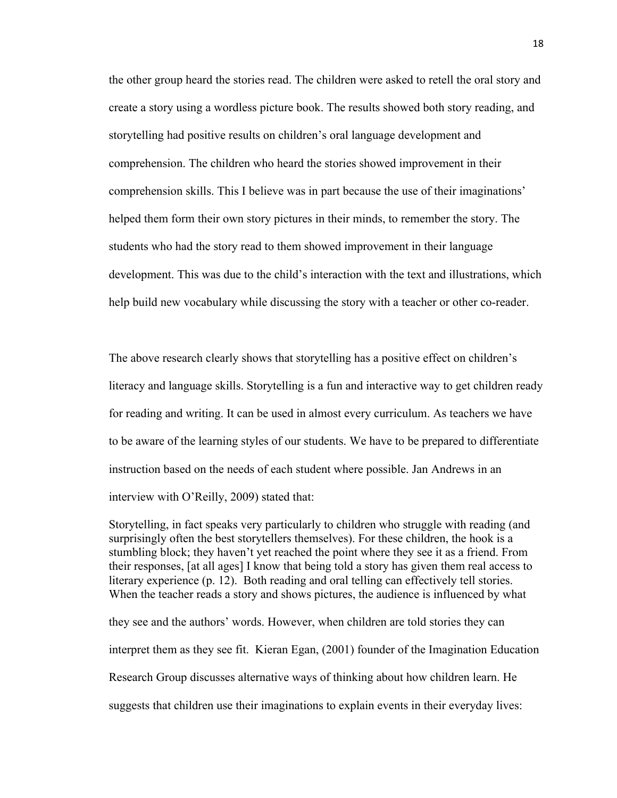the other group heard the stories read. The children were asked to retell the oral story and create a story using a wordless picture book. The results showed both story reading, and storytelling had positive results on children's oral language development and comprehension. The children who heard the stories showed improvement in their comprehension skills. This I believe was in part because the use of their imaginations' helped them form their own story pictures in their minds, to remember the story. The students who had the story read to them showed improvement in their language development. This was due to the child's interaction with the text and illustrations, which help build new vocabulary while discussing the story with a teacher or other co-reader.

The above research clearly shows that storytelling has a positive effect on children's literacy and language skills. Storytelling is a fun and interactive way to get children ready for reading and writing. It can be used in almost every curriculum. As teachers we have to be aware of the learning styles of our students. We have to be prepared to differentiate instruction based on the needs of each student where possible. Jan Andrews in an interview with O'Reilly, 2009) stated that:

Storytelling, in fact speaks very particularly to children who struggle with reading (and surprisingly often the best storytellers themselves). For these children, the hook is a stumbling block; they haven't yet reached the point where they see it as a friend. From their responses, [at all ages] I know that being told a story has given them real access to literary experience (p. 12). Both reading and oral telling can effectively tell stories. When the teacher reads a story and shows pictures, the audience is influenced by what

they see and the authors' words. However, when children are told stories they can interpret them as they see fit. Kieran Egan, (2001) founder of the Imagination Education Research Group discusses alternative ways of thinking about how children learn. He suggests that children use their imaginations to explain events in their everyday lives: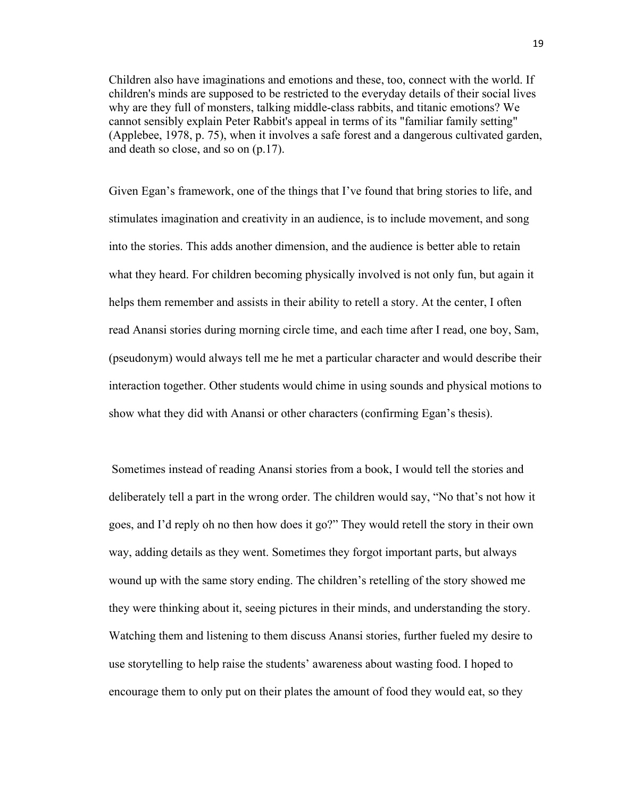Children also have imaginations and emotions and these, too, connect with the world. If children's minds are supposed to be restricted to the everyday details of their social lives why are they full of monsters, talking middle-class rabbits, and titanic emotions? We cannot sensibly explain Peter Rabbit's appeal in terms of its "familiar family setting" (Applebee, 1978, p. 75), when it involves a safe forest and a dangerous cultivated garden, and death so close, and so on (p.17).

Given Egan's framework, one of the things that I've found that bring stories to life, and stimulates imagination and creativity in an audience, is to include movement, and song into the stories. This adds another dimension, and the audience is better able to retain what they heard. For children becoming physically involved is not only fun, but again it helps them remember and assists in their ability to retell a story. At the center, I often read Anansi stories during morning circle time, and each time after I read, one boy, Sam, (pseudonym) would always tell me he met a particular character and would describe their interaction together. Other students would chime in using sounds and physical motions to show what they did with Anansi or other characters (confirming Egan's thesis).

Sometimes instead of reading Anansi stories from a book, I would tell the stories and deliberately tell a part in the wrong order. The children would say, "No that's not how it goes, and I'd reply oh no then how does it go?" They would retell the story in their own way, adding details as they went. Sometimes they forgot important parts, but always wound up with the same story ending. The children's retelling of the story showed me they were thinking about it, seeing pictures in their minds, and understanding the story. Watching them and listening to them discuss Anansi stories, further fueled my desire to use storytelling to help raise the students' awareness about wasting food. I hoped to encourage them to only put on their plates the amount of food they would eat, so they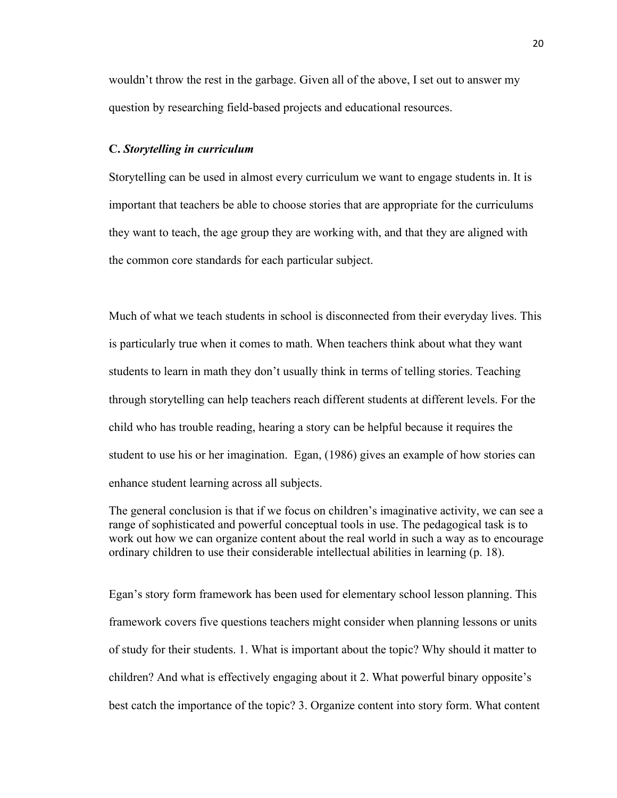wouldn't throw the rest in the garbage. Given all of the above, I set out to answer my question by researching field-based projects and educational resources.

#### **C.** *Storytelling in curriculum*

Storytelling can be used in almost every curriculum we want to engage students in. It is important that teachers be able to choose stories that are appropriate for the curriculums they want to teach, the age group they are working with, and that they are aligned with the common core standards for each particular subject.

Much of what we teach students in school is disconnected from their everyday lives. This is particularly true when it comes to math. When teachers think about what they want students to learn in math they don't usually think in terms of telling stories. Teaching through storytelling can help teachers reach different students at different levels. For the child who has trouble reading, hearing a story can be helpful because it requires the student to use his or her imagination. Egan, (1986) gives an example of how stories can enhance student learning across all subjects.

The general conclusion is that if we focus on children's imaginative activity, we can see a range of sophisticated and powerful conceptual tools in use. The pedagogical task is to work out how we can organize content about the real world in such a way as to encourage ordinary children to use their considerable intellectual abilities in learning (p. 18).

Egan's story form framework has been used for elementary school lesson planning. This framework covers five questions teachers might consider when planning lessons or units of study for their students. 1. What is important about the topic? Why should it matter to children? And what is effectively engaging about it 2. What powerful binary opposite's best catch the importance of the topic? 3. Organize content into story form. What content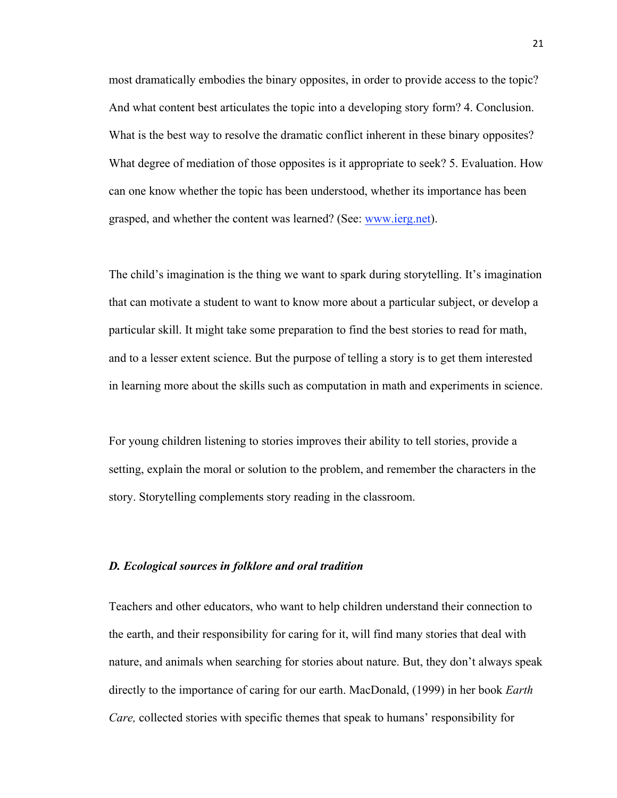most dramatically embodies the binary opposites, in order to provide access to the topic? And what content best articulates the topic into a developing story form? 4. Conclusion. What is the best way to resolve the dramatic conflict inherent in these binary opposites? What degree of mediation of those opposites is it appropriate to seek? 5. Evaluation. How can one know whether the topic has been understood, whether its importance has been grasped, and whether the content was learned? (See: www.ierg.net).

The child's imagination is the thing we want to spark during storytelling. It's imagination that can motivate a student to want to know more about a particular subject, or develop a particular skill. It might take some preparation to find the best stories to read for math, and to a lesser extent science. But the purpose of telling a story is to get them interested in learning more about the skills such as computation in math and experiments in science.

For young children listening to stories improves their ability to tell stories, provide a setting, explain the moral or solution to the problem, and remember the characters in the story. Storytelling complements story reading in the classroom.

#### *D. Ecological sources in folklore and oral tradition*

Teachers and other educators, who want to help children understand their connection to the earth, and their responsibility for caring for it, will find many stories that deal with nature, and animals when searching for stories about nature. But, they don't always speak directly to the importance of caring for our earth. MacDonald, (1999) in her book *Earth Care,* collected stories with specific themes that speak to humans' responsibility for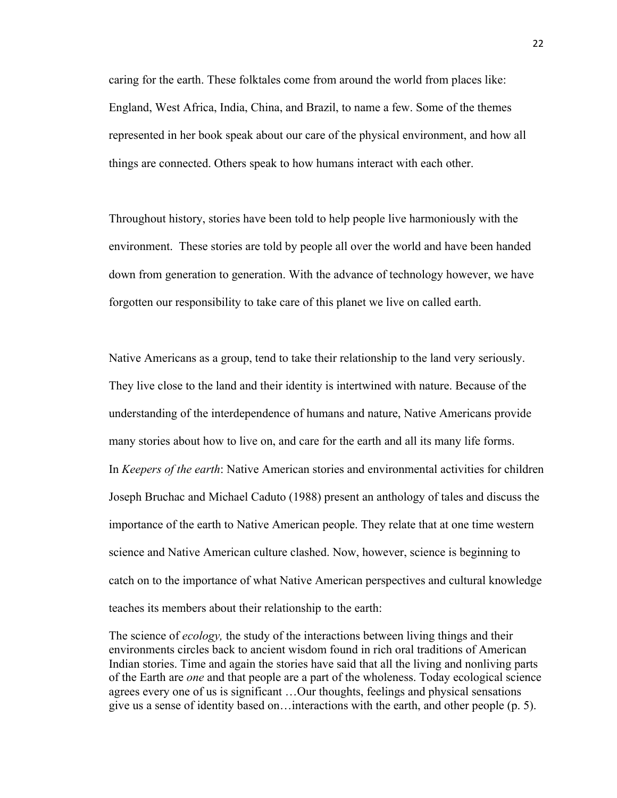caring for the earth. These folktales come from around the world from places like: England, West Africa, India, China, and Brazil, to name a few. Some of the themes represented in her book speak about our care of the physical environment, and how all things are connected. Others speak to how humans interact with each other.

Throughout history, stories have been told to help people live harmoniously with the environment. These stories are told by people all over the world and have been handed down from generation to generation. With the advance of technology however, we have forgotten our responsibility to take care of this planet we live on called earth.

Native Americans as a group, tend to take their relationship to the land very seriously. They live close to the land and their identity is intertwined with nature. Because of the understanding of the interdependence of humans and nature, Native Americans provide many stories about how to live on, and care for the earth and all its many life forms. In *Keepers of the earth*: Native American stories and environmental activities for children Joseph Bruchac and Michael Caduto (1988) present an anthology of tales and discuss the importance of the earth to Native American people. They relate that at one time western science and Native American culture clashed. Now, however, science is beginning to catch on to the importance of what Native American perspectives and cultural knowledge teaches its members about their relationship to the earth:

The science of *ecology,* the study of the interactions between living things and their environments circles back to ancient wisdom found in rich oral traditions of American Indian stories. Time and again the stories have said that all the living and nonliving parts of the Earth are *one* and that people are a part of the wholeness. Today ecological science agrees every one of us is significant …Our thoughts, feelings and physical sensations give us a sense of identity based on…interactions with the earth, and other people (p. 5).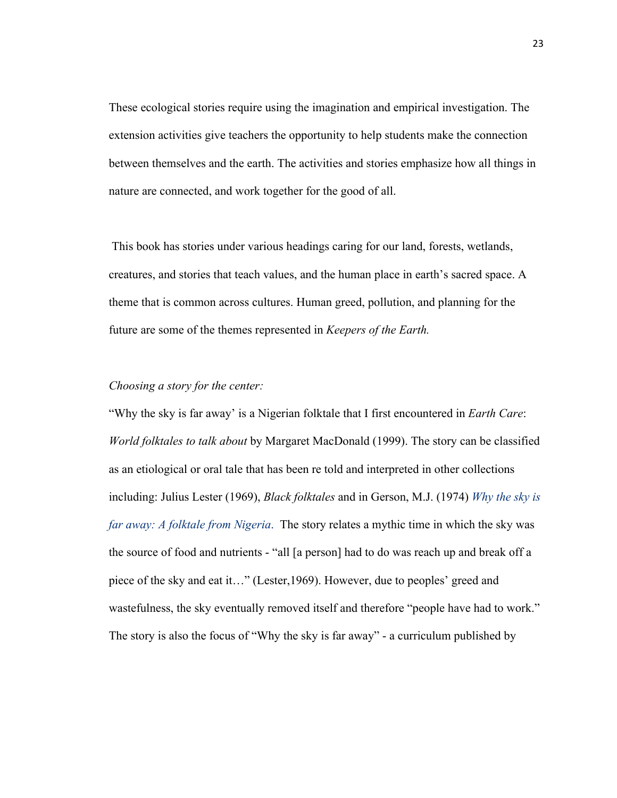These ecological stories require using the imagination and empirical investigation. The extension activities give teachers the opportunity to help students make the connection between themselves and the earth. The activities and stories emphasize how all things in nature are connected, and work together for the good of all.

This book has stories under various headings caring for our land, forests, wetlands, creatures, and stories that teach values, and the human place in earth's sacred space. A theme that is common across cultures. Human greed, pollution, and planning for the future are some of the themes represented in *Keepers of the Earth.*

#### *Choosing a story for the center:*

"Why the sky is far away' is a Nigerian folktale that I first encountered in *Earth Care*: *World folktales to talk about* by Margaret MacDonald (1999). The story can be classified as an etiological or oral tale that has been re told and interpreted in other collections including: Julius Lester (1969), *Black folktales* and in Gerson, M.J. (1974) *Why the sky is far away: A folktale from Nigeria*. The story relates a mythic time in which the sky was the source of food and nutrients - "all [a person] had to do was reach up and break off a piece of the sky and eat it…" (Lester,1969). However, due to peoples' greed and wastefulness, the sky eventually removed itself and therefore "people have had to work." The story is also the focus of "Why the sky is far away" - a curriculum published by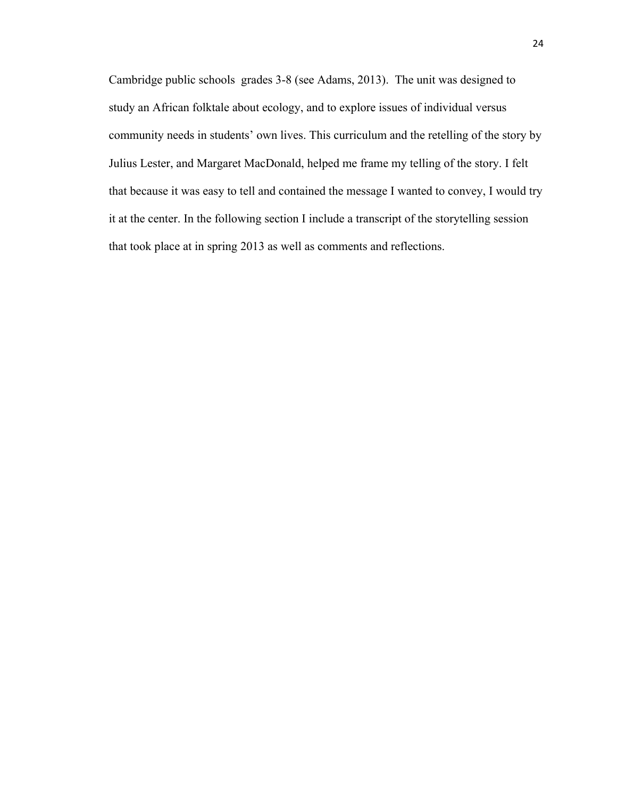Cambridge public schools grades 3-8 (see Adams, 2013). The unit was designed to study an African folktale about ecology, and to explore issues of individual versus community needs in students' own lives. This curriculum and the retelling of the story by Julius Lester, and Margaret MacDonald, helped me frame my telling of the story. I felt that because it was easy to tell and contained the message I wanted to convey, I would try it at the center. In the following section I include a transcript of the storytelling session that took place at in spring 2013 as well as comments and reflections.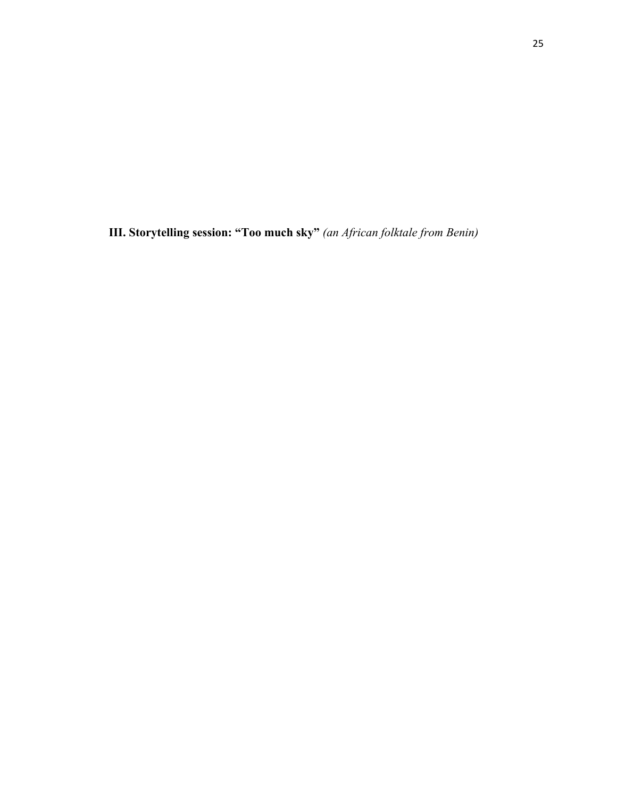**III. Storytelling session: "Too much sky"** *(an African folktale from Benin)*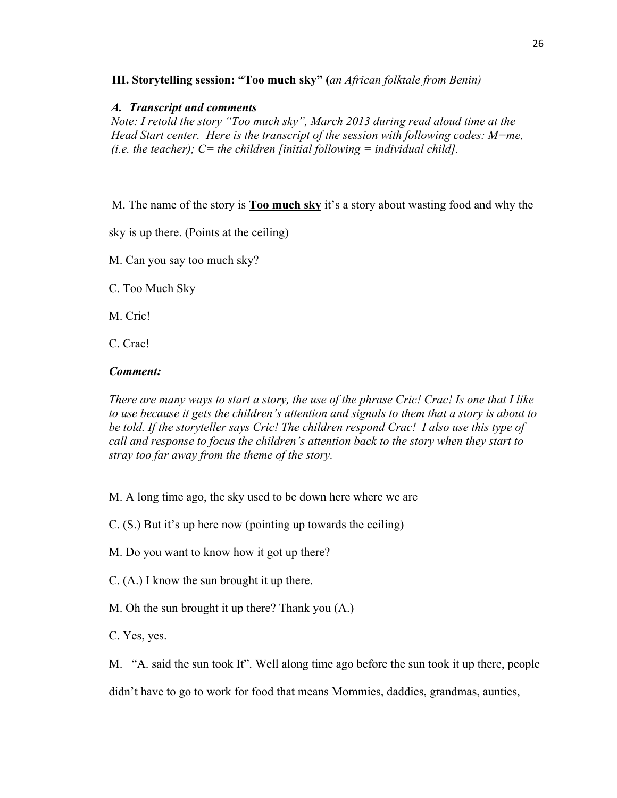## **III. Storytelling session: "Too much sky" (***an African folktale from Benin)*

#### *A. Transcript and comments*

*Note: I retold the story "Too much sky", March 2013 during read aloud time at the Head Start center. Here is the transcript of the session with following codes: M=me, (i.e. the teacher); C= the children [initial following = individual child].*

M. The name of the story is **Too much sky** it's a story about wasting food and why the

sky is up there. (Points at the ceiling)

M. Can you say too much sky?

C. Too Much Sky

M. Cric!

C. Crac!

## *Comment:*

*There are many ways to start a story, the use of the phrase Cric! Crac! Is one that I like to use because it gets the children's attention and signals to them that a story is about to be told. If the storyteller says Cric! The children respond Crac! I also use this type of call and response to focus the children's attention back to the story when they start to stray too far away from the theme of the story.*

M. A long time ago, the sky used to be down here where we are

C. (S.) But it's up here now (pointing up towards the ceiling)

- M. Do you want to know how it got up there?
- C. (A.) I know the sun brought it up there.
- M. Oh the sun brought it up there? Thank you (A.)
- C. Yes, yes.

M. "A. said the sun took It". Well along time ago before the sun took it up there, people didn't have to go to work for food that means Mommies, daddies, grandmas, aunties,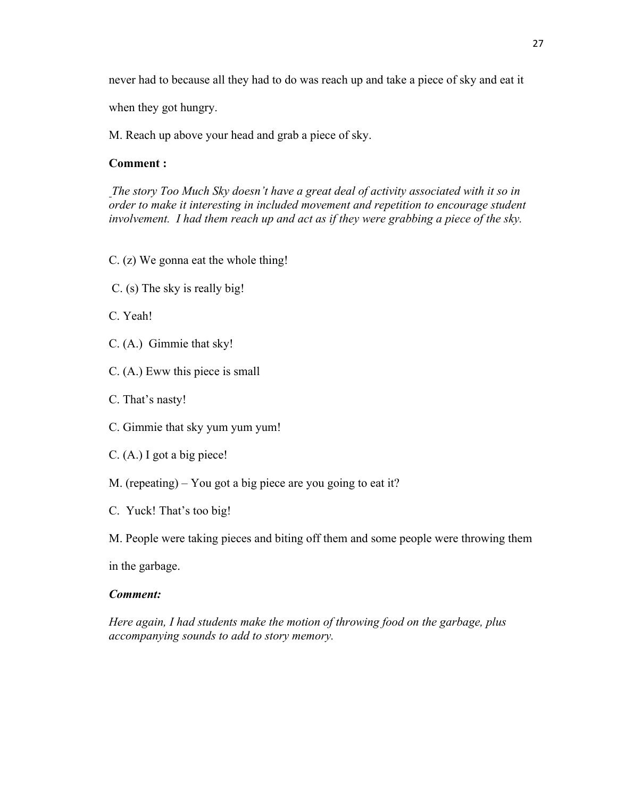never had to because all they had to do was reach up and take a piece of sky and eat it

when they got hungry.

M. Reach up above your head and grab a piece of sky.

# **Comment :**

*The story Too Much Sky doesn't have a great deal of activity associated with it so in order to make it interesting in included movement and repetition to encourage student involvement. I had them reach up and act as if they were grabbing a piece of the sky.*

- C. (z) We gonna eat the whole thing!
- C. (s) The sky is really big!
- C. Yeah!
- C. (A.) Gimmie that sky!
- C. (A.) Eww this piece is small
- C. That's nasty!
- C. Gimmie that sky yum yum yum!
- C. (A.) I got a big piece!
- M. (repeating) You got a big piece are you going to eat it?
- C. Yuck! That's too big!
- M. People were taking pieces and biting off them and some people were throwing them

in the garbage.

#### *Comment:*

*Here again, I had students make the motion of throwing food on the garbage, plus accompanying sounds to add to story memory.*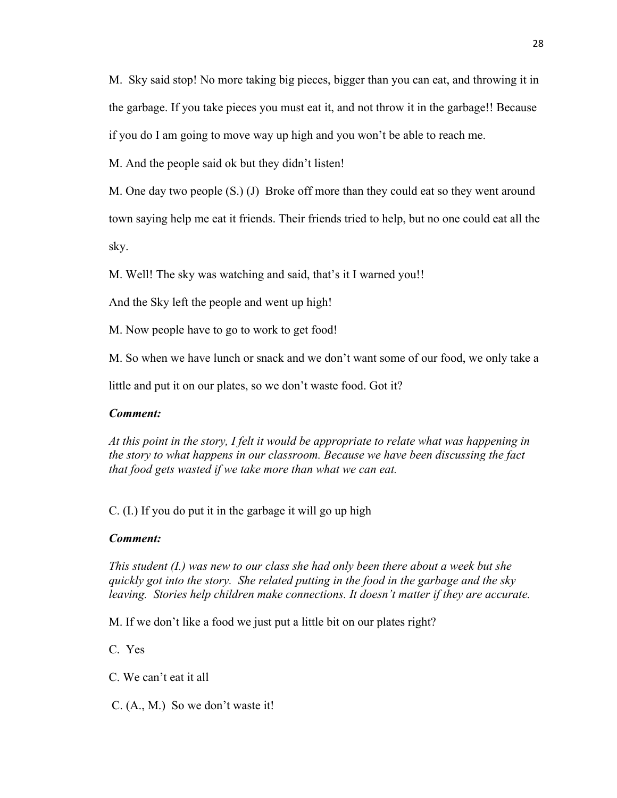M. Sky said stop! No more taking big pieces, bigger than you can eat, and throwing it in the garbage. If you take pieces you must eat it, and not throw it in the garbage!! Because if you do I am going to move way up high and you won't be able to reach me.

M. And the people said ok but they didn't listen!

M. One day two people (S.) (J) Broke off more than they could eat so they went around

town saying help me eat it friends. Their friends tried to help, but no one could eat all the

sky.

M. Well! The sky was watching and said, that's it I warned you!!

And the Sky left the people and went up high!

M. Now people have to go to work to get food!

M. So when we have lunch or snack and we don't want some of our food, we only take a

little and put it on our plates, so we don't waste food. Got it?

# *Comment:*

*At this point in the story, I felt it would be appropriate to relate what was happening in the story to what happens in our classroom. Because we have been discussing the fact that food gets wasted if we take more than what we can eat.*

C. (I.) If you do put it in the garbage it will go up high

# *Comment:*

*This student (I.) was new to our class she had only been there about a week but she quickly got into the story. She related putting in the food in the garbage and the sky leaving. Stories help children make connections. It doesn't matter if they are accurate.*

M. If we don't like a food we just put a little bit on our plates right?

C. Yes

C. We can't eat it all

C. (A., M.) So we don't waste it!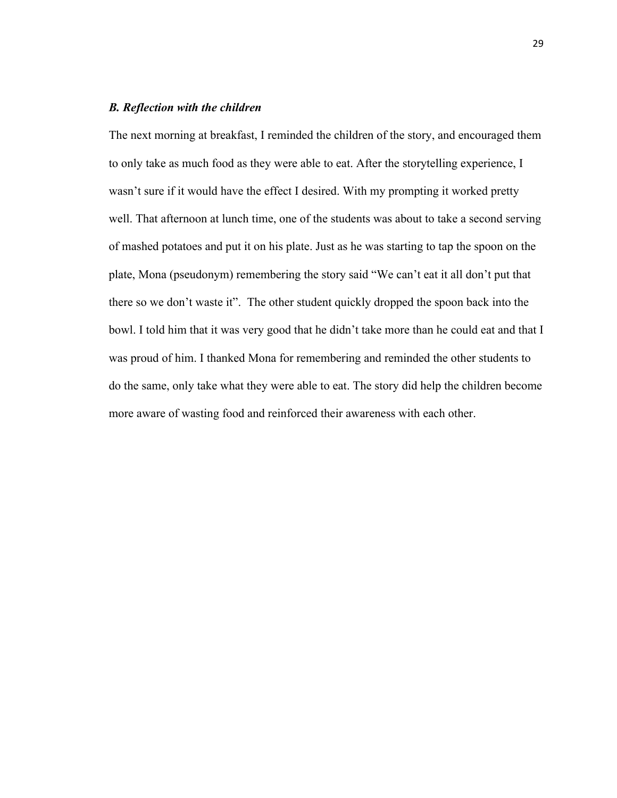# *B. Reflection with the children*

The next morning at breakfast, I reminded the children of the story, and encouraged them to only take as much food as they were able to eat. After the storytelling experience, I wasn't sure if it would have the effect I desired. With my prompting it worked pretty well. That afternoon at lunch time, one of the students was about to take a second serving of mashed potatoes and put it on his plate. Just as he was starting to tap the spoon on the plate, Mona (pseudonym) remembering the story said "We can't eat it all don't put that there so we don't waste it". The other student quickly dropped the spoon back into the bowl. I told him that it was very good that he didn't take more than he could eat and that I was proud of him. I thanked Mona for remembering and reminded the other students to do the same, only take what they were able to eat. The story did help the children become more aware of wasting food and reinforced their awareness with each other.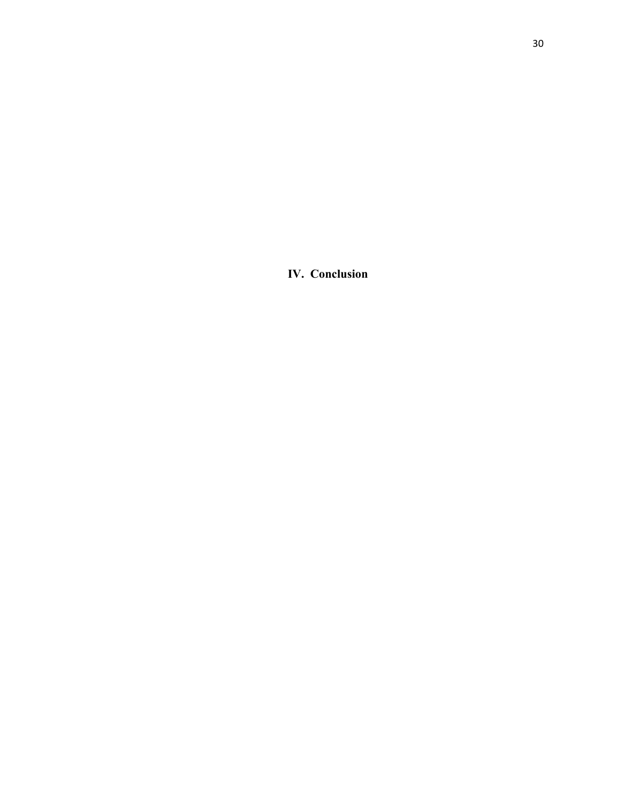**IV. Conclusion**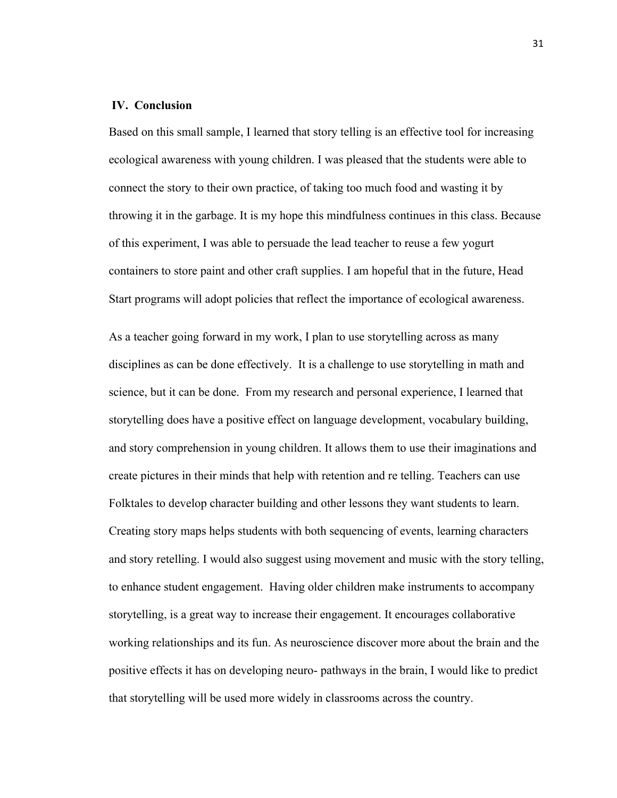## **IV. Conclusion**

Based on this small sample, I learned that story telling is an effective tool for increasing ecological awareness with young children. I was pleased that the students were able to connect the story to their own practice, of taking too much food and wasting it by throwing it in the garbage. It is my hope this mindfulness continues in this class. Because of this experiment, I was able to persuade the lead teacher to reuse a few yogurt containers to store paint and other craft supplies. I am hopeful that in the future, Head Start programs will adopt policies that reflect the importance of ecological awareness.

As a teacher going forward in my work, I plan to use storytelling across as many disciplines as can be done effectively. It is a challenge to use storytelling in math and science, but it can be done. From my research and personal experience, I learned that storytelling does have a positive effect on language development, vocabulary building, and story comprehension in young children. It allows them to use their imaginations and create pictures in their minds that help with retention and re telling. Teachers can use Folktales to develop character building and other lessons they want students to learn. Creating story maps helps students with both sequencing of events, learning characters and story retelling. I would also suggest using movement and music with the story telling, to enhance student engagement. Having older children make instruments to accompany storytelling, is a great way to increase their engagement. It encourages collaborative working relationships and its fun. As neuroscience discover more about the brain and the positive effects it has on developing neuro- pathways in the brain, I would like to predict that storytelling will be used more widely in classrooms across the country.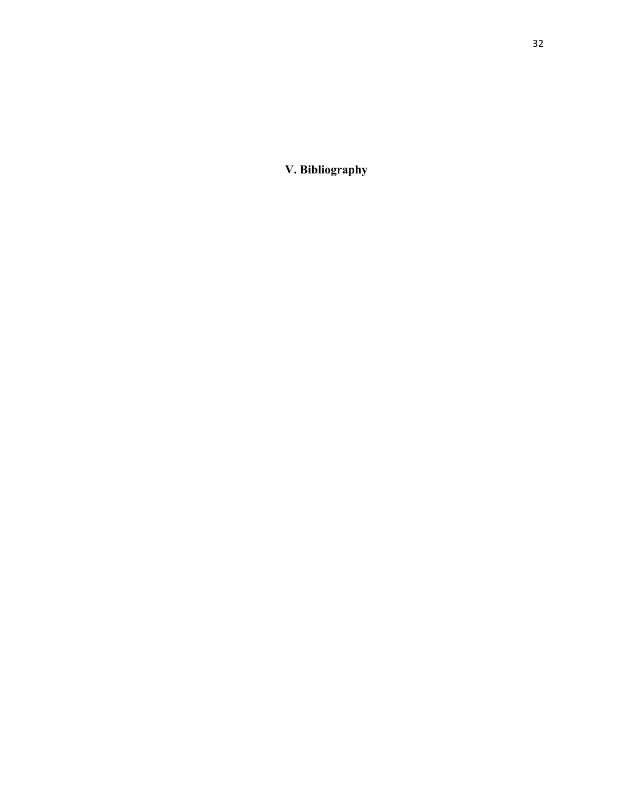**V. Bibliography**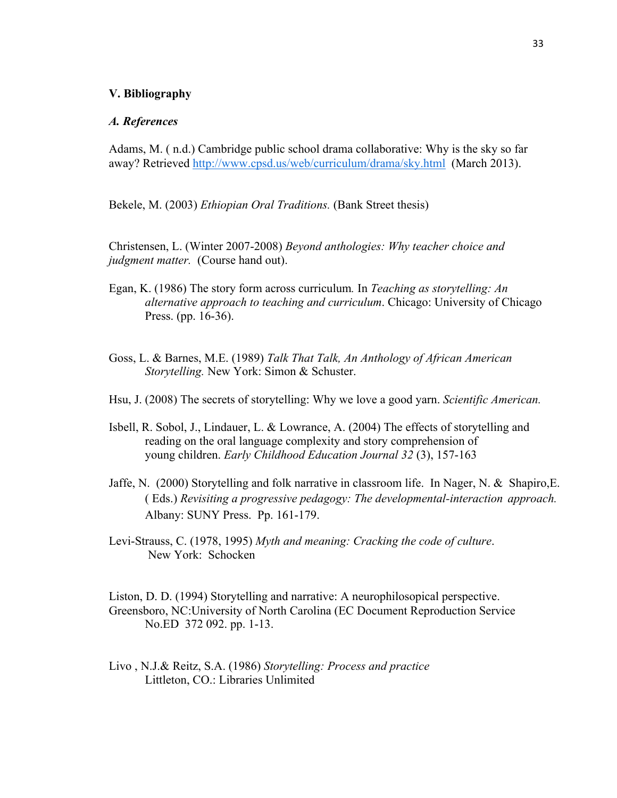#### **V. Bibliography**

#### *A. References*

Adams, M. ( n.d.) Cambridge public school drama collaborative: Why is the sky so far away? Retrieved http://www.cpsd.us/web/curriculum/drama/sky.html (March 2013).

Bekele, M. (2003) *Ethiopian Oral Traditions.* (Bank Street thesis)

Christensen, L. (Winter 2007-2008) *Beyond anthologies: Why teacher choice and judgment matter.* (Course hand out).

- Egan, K. (1986) The story form across curriculum*.* In *Teaching as storytelling: An alternative approach to teaching and curriculum*. Chicago: University of Chicago Press. (pp. 16-36).
- Goss, L. & Barnes, M.E. (1989) *Talk That Talk, An Anthology of African American Storytelling.* New York: Simon & Schuster.
- Hsu, J. (2008) The secrets of storytelling: Why we love a good yarn. *Scientific American.*
- Isbell, R. Sobol, J., Lindauer, L. & Lowrance, A. (2004) The effects of storytelling and reading on the oral language complexity and story comprehension of young children. *Early Childhood Education Journal 32* (3), 157-163
- Jaffe, N. (2000) Storytelling and folk narrative in classroom life. In Nager, N. & Shapiro,E. ( Eds.) *Revisiting a progressive pedagogy: The developmental-interaction approach.*  Albany: SUNY Press. Pp. 161-179.
- Levi-Strauss, C. (1978, 1995) *Myth and meaning: Cracking the code of culture*. New York: Schocken

Liston, D. D. (1994) Storytelling and narrative: A neurophilosopical perspective. Greensboro, NC:University of North Carolina (EC Document Reproduction Service No.ED 372 092. pp. 1-13.

Livo , N.J.& Reitz, S.A. (1986) *Storytelling: Process and practice* Littleton, CO.: Libraries Unlimited